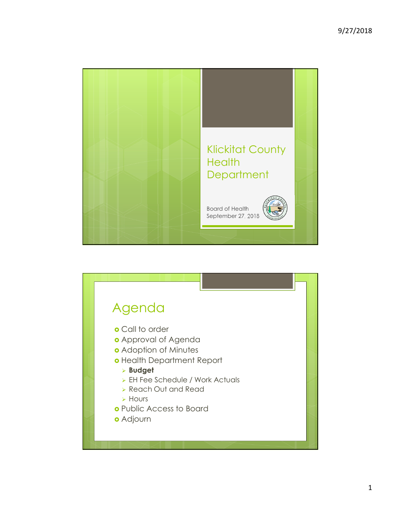

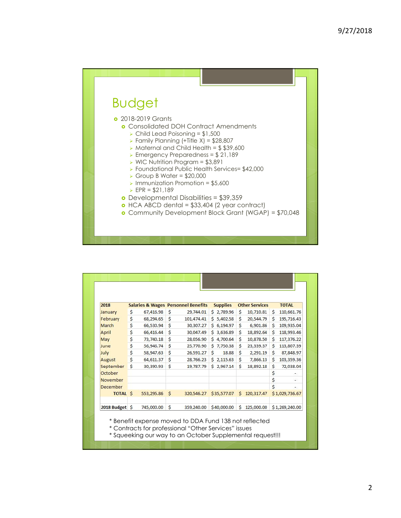

| 2018            |                    |               |              | <b>Salaries &amp; Wages Personnel Benefits</b> |    | <b>Supplies</b> |    | <b>Other Services</b> |              | <b>TOTAL</b>   |
|-----------------|--------------------|---------------|--------------|------------------------------------------------|----|-----------------|----|-----------------------|--------------|----------------|
| January         | \$                 | 67,416.98     | Ś            | 29,744.01                                      |    | \$2,789.96      | \$ | 10,710.81             | S.           | 110,661.76     |
| February        | \$                 | 68,294.65     | Ś            | 101,474.41                                     |    | \$5,402.58      | Ś  | 20,544.79             | \$           | 195,716.43     |
| March           | \$                 | 66,530.94     | $\mathsf{S}$ | 30,307.27                                      |    | \$6,194.97      | Ś  | 6,901.86              | Ś            | 109,935.04     |
| April           | \$                 | 66,416.44     | Ś            | 30,047.49                                      | Ś. | 3,636.89        | Ś  | 18,892.64             | Ś.           | 118,993.46     |
| May             | \$                 | 73,740.18     | Ś            | 28,056.90                                      |    | \$4,700.64      | Ś  | 10,878.50             | Ś            | 117,376.22     |
| June            | \$                 | 56,946,74     | $\mathsf{S}$ | 25,770.90                                      | Ś. | 7.750.38        | Ś  | 23,339.37             | $\mathsf{S}$ | 113,807.39     |
| July            | \$                 | 58,947.63     | Ś            | 26,591.27                                      | Ś  | 18.88           | Ś  | 2,291.19              | Ś            | 87,848.97      |
| August          | \$                 | 64,611.37     | Ś            | 28,766.23                                      | Ś. | 2,115.63        | Ś  | 7,866.13              | Ŝ.           | 103,359.36     |
| September       | $\dot{\mathsf{S}}$ | 30,390.93     | Ś            | 19,787.79                                      | Ś  | 2,967.14        | Ś  | 18,892.18             | Ś            | 72,038.04      |
| October         |                    |               |              |                                                |    |                 |    |                       | Ś            |                |
| November        |                    |               |              |                                                |    |                 |    |                       | \$           |                |
| December        |                    |               |              |                                                |    |                 |    |                       | Ś            |                |
| <b>TOTAL \$</b> |                    | 553,295.86 \$ |              | 320,546.27                                     |    | \$35,577.07     |    | \$120,317.47          |              | \$1,029,736.67 |
| 2018 Budget \$  |                    | 745,000.00    | Ś            | 359,240.00                                     |    | \$40,000.00     | Ś. | 125,000.00            |              | \$1,269,240.00 |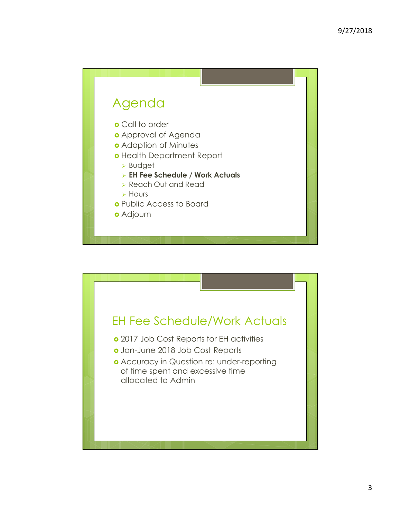

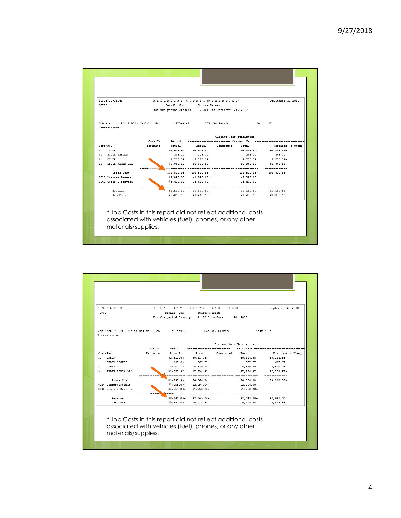| 18/09/20-12:43<br>JC710                                                   |          |                               | KLICKITAT COUNTY (UNAUDITED)<br>Detail Job Status Report<br>for the period January 1, 2017 to December 31, 2017 |                                   |                                                         | September 20 2018      |  |  |  |
|---------------------------------------------------------------------------|----------|-------------------------------|-----------------------------------------------------------------------------------------------------------------|-----------------------------------|---------------------------------------------------------|------------------------|--|--|--|
| Job Area : PH Public Health Job : PH54-1-1 033 New Permit<br>Remarks/Memo |          |                               |                                                                                                                 |                                   | Year:17                                                 |                        |  |  |  |
|                                                                           |          | Current Year Statistics       |                                                                                                                 |                                   |                                                         |                        |  |  |  |
|                                                                           | Curr.Yr  |                               |                                                                                                                 |                                   | Period ------------------------ Current Year ---------- |                        |  |  |  |
| Cost/Rev                                                                  | Estimate | Actual                        |                                                                                                                 | Actual Committed Total            |                                                         | Variance & Unexp       |  |  |  |
| 1. LABOR                                                                  |          |                               | 63,684.96 63,684.96                                                                                             |                                   |                                                         | 63,684.96 63,684.96-   |  |  |  |
| 4. STOCK ISSUES                                                           |          | 308.32                        | 308.33                                                                                                          |                                   | 308.33                                                  | $308.33-$              |  |  |  |
| 6. OTHER                                                                  |          |                               | 2,778.59 2,778.59                                                                                               |                                   | 2,778.59                                                | 2.778.59-              |  |  |  |
| 9. INDIR ADMIN ALL                                                        |          | - - - - - - - - - - - - - - - | 38.058.10 35.058.10                                                                                             |                                   | 35,058.10                                               | 35,058.10-             |  |  |  |
| Gross Cost                                                                |          |                               | 101,829.98 101,829.98                                                                                           |                                   | 101,829.98                                              | 101,829.98-            |  |  |  |
| 0320 LicenseAPermit                                                       |          |                               | 41,950.00- 44,950.00-                                                                                           |                                   | 44,950.00-                                              |                        |  |  |  |
| 0240 Goods & Service                                                      |          |                               | $35,630.00 - 35,630.00 -$                                                                                       | ----- ------------- ------------- | 35,630.00-                                              |                        |  |  |  |
| Retrentie                                                                 |          |                               | 80.580.00- 80.580.00-                                                                                           |                                   | 80,580.00- 80,580.00                                    |                        |  |  |  |
| Net Cost                                                                  |          |                               | 21, 249.98 21, 249.98                                                                                           |                                   |                                                         | 21, 249.98 21, 249.98- |  |  |  |
| * Job Costs in this report did not reflect additional costs               |          |                               | associated with vehicles (fuel), phones, or any other                                                           |                                   |                                                         |                        |  |  |  |

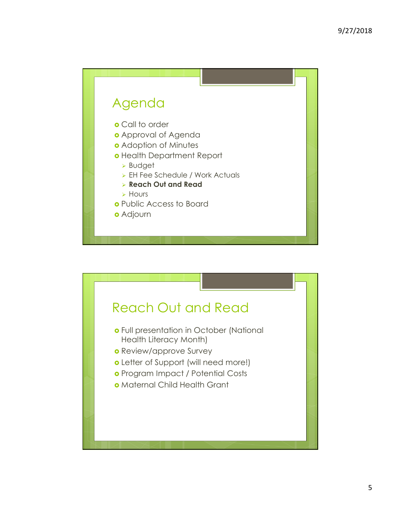

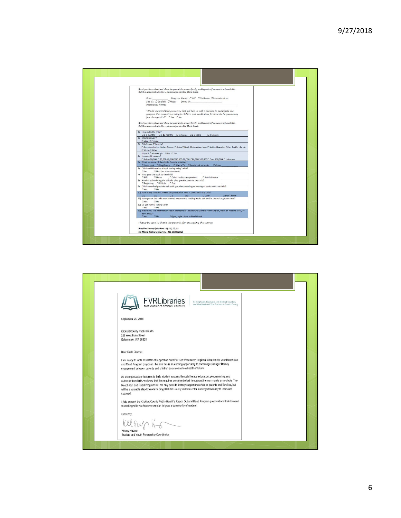

| <b>FVRLibraries</b><br>Serving Clark, Skamania and Klickitat Counties,<br>and Woodland and Yale Precinct in Cowlitz County<br>FORT VANCOUVER REGIONAL LIBRARIES                                                                                                                                                                                                                                                                                     |  |
|-----------------------------------------------------------------------------------------------------------------------------------------------------------------------------------------------------------------------------------------------------------------------------------------------------------------------------------------------------------------------------------------------------------------------------------------------------|--|
| September 25, 2018                                                                                                                                                                                                                                                                                                                                                                                                                                  |  |
| Klickitat County Public Health<br>228 West Main Street<br>Goldendale, WA 98620                                                                                                                                                                                                                                                                                                                                                                      |  |
| Dear Carla Dionne:                                                                                                                                                                                                                                                                                                                                                                                                                                  |  |
| I am happy to write this letter of support on behalf of Fort Vancouver Regional Libraries for your Reach Out<br>and Read Program proposal. I believe this is an exciting opportunity to encourage stronger literacy<br>engagement between parents and children as a means to a healthier future.                                                                                                                                                    |  |
| As an organization that aims to build student success through literacy education, programming, and<br>outreach from birth, we know that this requires persistent effort throughout the community as a whole. The<br>Reach Out and Read Program will not only provide literacy support materials to parents and families, but<br>will be a valuable step towards helping Klickitat County children enter kindergarten ready to learn and<br>succeed. |  |
| I fully support the Klickitat County Public Health's Reach Out and Read Program proposal and look forward<br>to working with you however we can to grow a community of readers.                                                                                                                                                                                                                                                                     |  |
| Sincerely,                                                                                                                                                                                                                                                                                                                                                                                                                                          |  |
|                                                                                                                                                                                                                                                                                                                                                                                                                                                     |  |
| Kelsey Hudson<br>Student and Youth Partnership Coordinator                                                                                                                                                                                                                                                                                                                                                                                          |  |